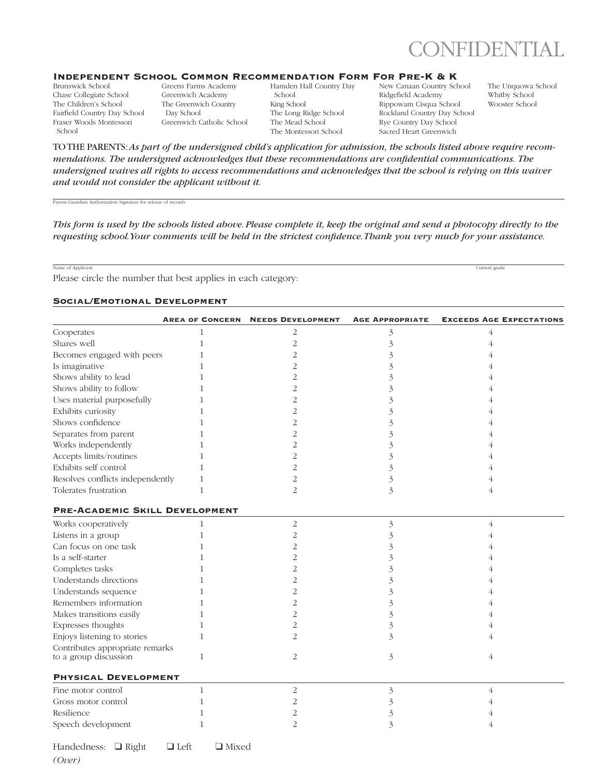

#### Independent School Common Recommendation Form For Pre-K & K

Brunswick School Chase Collegiate School The Children's School Fairfield Country Day School Fraser Woods Montessori School

Greens Farms Academy Greenwich Academy The Greenwich Country Day School Greenwich Catholic School Hamden Hall Country Day School King School The Long Ridge School The Mead School The Montessori School

New Canaan Country School Ridgefield Academy Rippowam Cisqua School Rockland Country Day School Rye Country Day School Sacred Heart Greenwich

The Unquowa School Whitby School Wooster School

TO THE PARENTS: *As part of the undersigned child's application for admission, the schools listed above require recommendations. The undersigned acknowledges that these recommendations are confidential communications. The undersigned waives all rights to access recommendations and acknowledges that the school is relying on this waiver and would not consider the applicant without it.*

Parent/Guardian Authorization Signature for release of records

*This form is used by the schools listed above. Please complete it, keep the original and send a photocopy directly to the requesting school. Your comments will be held in the strictest confidence. Thank you very much for your assistance.*

Name of Applicant **Current grade** Current grade **Current grade** 

Please circle the number that best applies in each category:

### Social/Emotional Development

|                                                          | <b>AREA OF CONCERN</b> | <b>NEEDS DEVELOPMENT</b> | <b>AGE APPROPRIATE</b> | <b>EXCEEDS AGE EXPECTATIONS</b> |
|----------------------------------------------------------|------------------------|--------------------------|------------------------|---------------------------------|
| Cooperates                                               | 1                      | 2                        | 3                      | 4                               |
| Shares well                                              | 1                      | $\overline{2}$           | 3                      | 4                               |
| Becomes engaged with peers                               | 1                      | 2                        | 3                      |                                 |
| Is imaginative                                           | 1                      | $\overline{2}$           | 3                      |                                 |
| Shows ability to lead                                    |                        | $\overline{2}$           | 3                      |                                 |
| Shows ability to follow                                  | 1                      | 2                        | 3                      |                                 |
| Uses material purposefully                               |                        | 2                        | 3                      |                                 |
| Exhibits curiosity                                       |                        | $\overline{2}$           | 3                      |                                 |
| Shows confidence                                         |                        | 2                        | 3                      |                                 |
| Separates from parent                                    |                        | 2                        | 3                      |                                 |
| Works independently                                      |                        | 2                        | 3                      |                                 |
| Accepts limits/routines                                  | 1                      | $\overline{2}$           | 3                      |                                 |
| Exhibits self control                                    | 1                      | 2                        | 3                      |                                 |
| Resolves conflicts independently                         | 1                      | 2                        | 3                      |                                 |
| Tolerates frustration                                    | $\mathbf{1}$           | $\overline{2}$           | 3                      | 4                               |
| <b>PRE-ACADEMIC SKILL DEVELOPMENT</b>                    |                        |                          |                        |                                 |
| Works cooperatively                                      | $\mathbf{1}$           | 2                        | 3                      | $\overline{4}$                  |
| Listens in a group                                       | 1                      | $\overline{2}$           | 3                      |                                 |
| Can focus on one task                                    |                        | $\overline{2}$           | 3                      |                                 |
| Is a self-starter                                        |                        | 2                        | 3                      |                                 |
| Completes tasks                                          |                        | $\overline{2}$           | 3                      |                                 |
| Understands directions                                   |                        | $\overline{2}$           | 3                      |                                 |
| Understands sequence                                     |                        | 2                        | 3                      |                                 |
| Remembers information                                    | 1                      | $\overline{c}$           | 3                      |                                 |
| Makes transitions easily                                 | 1                      | 2                        | 3                      |                                 |
| Expresses thoughts                                       | 1                      | 2                        | 3                      |                                 |
| Enjoys listening to stories                              | 1                      | 2                        | 3                      |                                 |
| Contributes appropriate remarks<br>to a group discussion | 1                      | 2                        | 3                      | 4                               |
| PHYSICAL DEVELOPMENT                                     |                        |                          |                        |                                 |
| Fine motor control                                       | $\mathbf{1}$           | $\overline{c}$           | 3                      | 4                               |
| Gross motor control                                      | 1                      | 2                        | 3                      |                                 |
| Resilience                                               |                        | 2                        | 3                      |                                 |
| Speech development                                       | 1                      | $\mathcal{D}$            | 3                      |                                 |

Handedness:  $\Box$  Right  $\Box$  Left  $\Box$  Mixed

*(Over)*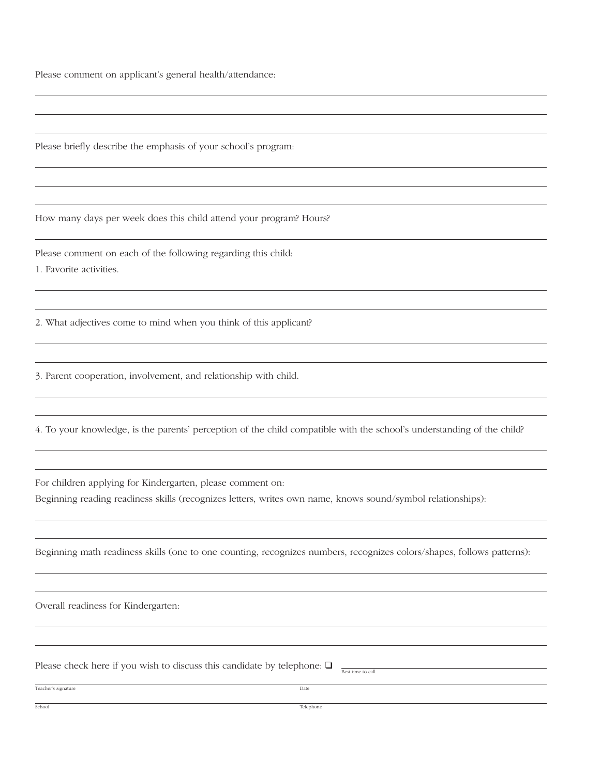Please comment on applicant's general health/attendance:

Please briefly describe the emphasis of your school's program:

How many days per week does this child attend your program? Hours?

Please comment on each of the following regarding this child:

1. Favorite activities.

2. What adjectives come to mind when you think of this applicant?

3. Parent cooperation, involvement, and relationship with child.

4. To your knowledge, is the parents' perception of the child compatible with the school's understanding of the child?

For children applying for Kindergarten, please comment on:

Beginning reading readiness skills (recognizes letters, writes own name, knows sound/symbol relationships):

Beginning math readiness skills (one to one counting, recognizes numbers, recognizes colors/shapes, follows patterns):

Overall readiness for Kindergarten:

Please check here if you wish to discuss this candidate by telephone:  $\Box$ 

Teacher's signature Date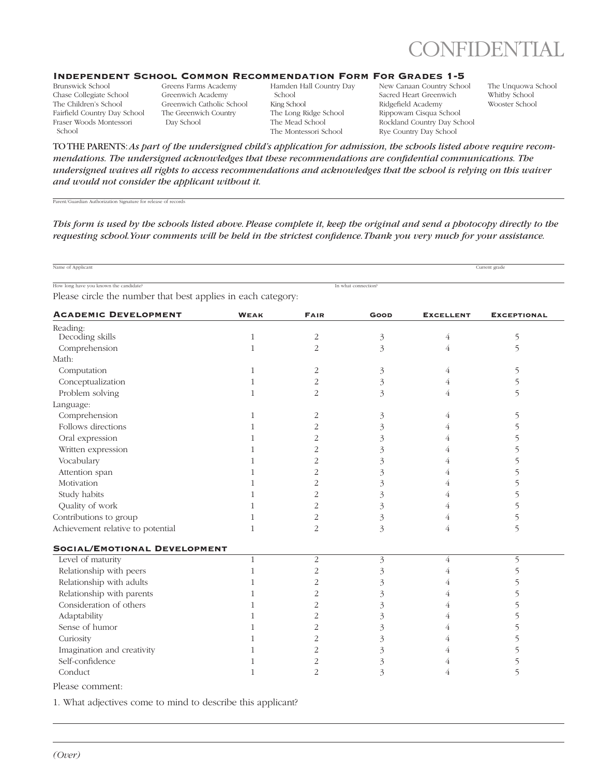

## Independent School Common Recommendation Form For Grades 1-5

Brunswick School Chase Collegiate School The Children's School Fairfield Country Day School Fraser Woods Montessori School

Greens Farms Academy Greenwich Academy Greenwich Catholic School The Greenwich Country Day School

Hamden Hall Country Day School King School The Long Ridge School The Mead School The Montessori School

New Canaan Country School Sacred Heart Greenwich Ridgefield Academy Rippowam Cisqua School Rockland Country Day School Rye Country Day School

The Unquowa School Whitby School Wooster School

TO THE PARENTS: *As part of the undersigned child's application for admission, the schools listed above require recommendations. The undersigned acknowledges that these recommendations are confidential communications. The undersigned waives all rights to access recommendations and acknowledges that the school is relying on this waiver and would not consider the applicant without it.*

Parent/Guardian Authorization Signature for release of records

*This form is used by the schools listed above. Please complete it, keep the original and send a photocopy directly to the requesting school. Your comments will be held in the strictest confidence. Thank you very much for your assistance.*

Name of Applicant Current grade

How long have you known the candidate? In what connection?

Please circle the number that best applies in each category:

| <b>ACADEMIC DEVELOPMENT</b>       | <b>WEAK</b>  | <b>FAIR</b>    | <b>GOOD</b>    | <b>EXCELLENT</b> | <b>EXCEPTIONAL</b> |
|-----------------------------------|--------------|----------------|----------------|------------------|--------------------|
| Reading:                          |              |                |                |                  |                    |
| Decoding skills                   | $\mathbf{1}$ | $\overline{2}$ | 3              | 4                | 5                  |
| Comprehension                     | 1            | 2              | 3              | 4                | $\overline{5}$     |
| Math:                             |              |                |                |                  |                    |
| Computation                       | 1            | $\overline{2}$ | $\mathfrak{Z}$ | 4                | 5                  |
| Conceptualization                 | $\mathbf{1}$ | 2              | 3              | 4                | 5                  |
| Problem solving                   | $\mathbf{1}$ | 2              | 3              | 4                | 5                  |
| Language:                         |              |                |                |                  |                    |
| Comprehension                     | 1            | 2              | 3              | 4                | 5                  |
| Follows directions                | $\mathbf{1}$ | $\overline{2}$ | 3              | 4                | 5                  |
| Oral expression                   | 1            | 2              | 3              | 4                | 5                  |
| Written expression                | 1            | 2              | 3              | 4                | 5                  |
| Vocabulary                        | 1            | 2              | 3              | 4                | 5                  |
| Attention span                    | 1            | $\overline{2}$ | 3              | 4                | 5                  |
| Motivation                        | 1            | 2              | 3              | 4                | 5                  |
| Study habits                      | 1            | 2              | 3              | 4                | 5                  |
| Quality of work                   | $\mathbf{1}$ | $\overline{2}$ | 3              | 4                | 5                  |
| Contributions to group            | 1            | 2              | 3              | 4                | 5                  |
| Achievement relative to potential | 1            | $\overline{2}$ | 3              | 4                | 5                  |
| SOCIAL/EMOTIONAL DEVELOPMENT      |              |                |                |                  |                    |
| Level of maturity                 | $\mathbf{1}$ | 2              | 3              | 4                | 5                  |
| Relationship with peers           | 1            | 2              | 3              | 4                | 5                  |
| Relationship with adults          | 1            | 2              | 3              | 4                | 5                  |
| Relationship with parents         | $\mathbf{1}$ | 2              | 3              | 4                | 5                  |
| Consideration of others           | 1            | 2              | 3              | 4                | 5                  |
| Adaptability                      | $\mathbf{1}$ | 2              | 3              | 4                | 5                  |
| Sense of humor                    | $\mathbf{1}$ | $\overline{2}$ | 3              | 4                | 5                  |
| Curiosity                         | 1            | $\overline{2}$ | 3              | 4                | 5                  |
| Imagination and creativity        | 1            | 2              | 3              | 4                | 5                  |
| Self-confidence                   | 1            | 2              | 3              | 4                | 5                  |
| Conduct                           | $\mathbf{1}$ | $\overline{2}$ | 3              | 4                | 5                  |
| Please comment:                   |              |                |                |                  |                    |

1. What adjectives come to mind to describe this applicant?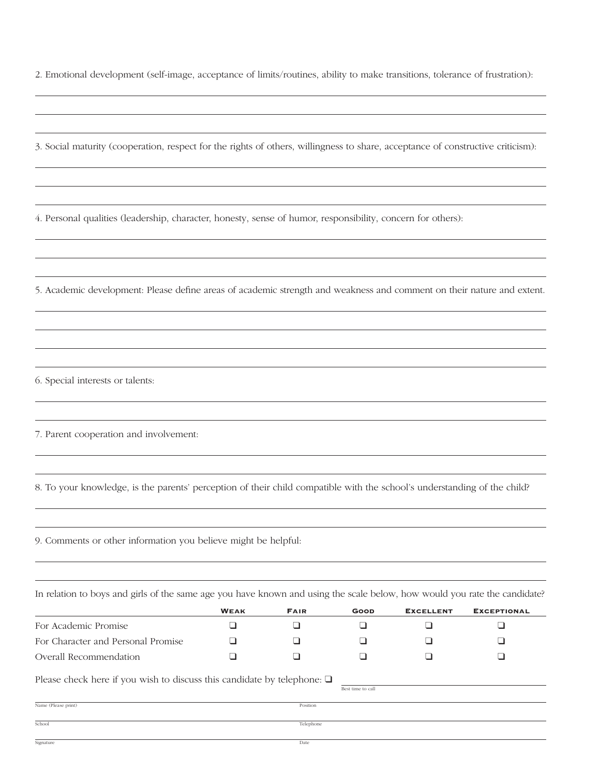2. Emotional development (self-image, acceptance of limits/routines, ability to make transitions, tolerance of frustration):

3. Social maturity (cooperation, respect for the rights of others, willingness to share, acceptance of constructive criticism):

4. Personal qualities (leadership, character, honesty, sense of humor, responsibility, concern for others):

5. Academic development: Please define areas of academic strength and weakness and comment on their nature and extent.

6. Special interests or talents:

7. Parent cooperation and involvement:

8. To your knowledge, is the parents' perception of their child compatible with the school's understanding of the child?

9. Comments or other information you believe might be helpful:

In relation to boys and girls of the same age you have known and using the scale below, how would you rate the candidate?

|                                                                              | <b>WEAK</b> | <b>FAIR</b> | GOOD              | <b>EXCELLENT</b> | <b>EXCEPTIONAL</b> |
|------------------------------------------------------------------------------|-------------|-------------|-------------------|------------------|--------------------|
| For Academic Promise                                                         |             |             |                   |                  |                    |
| For Character and Personal Promise                                           |             |             |                   |                  |                    |
| Overall Recommendation                                                       |             |             |                   |                  |                    |
| Please check here if you wish to discuss this candidate by telephone: $\Box$ |             |             | Best time to call |                  |                    |
| Name (Please print)                                                          |             | Position    |                   |                  |                    |
| School                                                                       |             | Telephone   |                   |                  |                    |

Signature Date **Date** Date **Date** Date **Date** Date **Date** Date **Date** Date **Date** Date **Date Date**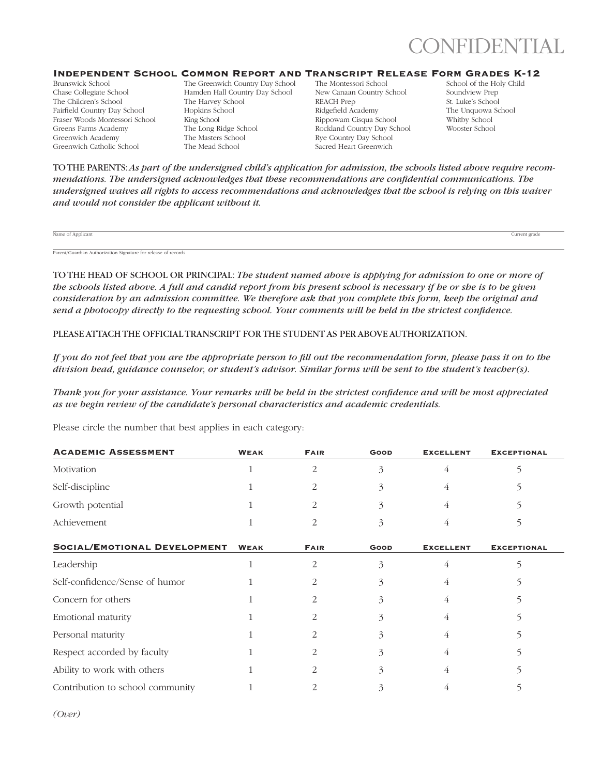

## Independent School Common Report and Transcript Release Form Grades K-12

Brunswick School Chase Collegiate School The Children's School Fairfield Country Day School Fraser Woods Montessori School Greens Farms Academy Greenwich Academy Greenwich Catholic School

The Greenwich Country Day School Hamden Hall Country Day School The Harvey School Hopkins School King School The Long Ridge School The Masters School The Mead School

The Montessori School New Canaan Country School REACH Prep Ridgefield Academy Rippowam Cisqua School Rockland Country Day School Rye Country Day School Sacred Heart Greenwich

School of the Holy Child Soundview Prep St. Luke's School The Unquowa School Whitby School Wooster School

TO THE PARENTS: *As part of the undersigned child's application for admission, the schools listed above require recommendations. The undersigned acknowledges that these recommendations are confidential communications. The undersigned waives all rights to access recommendations and acknowledges that the school is relying on this waiver and would not consider the applicant without it.*

Name of Applicant **Current grade** Current grade Current grade Current grade Current grade Current grade Current grade

Parent/Guardian Authorization Signature for release of records

TO THE HEAD OF SCHOOL OR PRINCIPAL: *The student named above is applying for admission to one or more of the schools listed above. A full and candid report from his present school is necessary if he or she is to be given consideration by an admission committee. We therefore ask that you complete this form, keep the original and send a photocopy directly to the requesting school. Your comments will be held in the strictest confidence.*

PLEASE ATTACH THE OFFICIAL TRANSCRIPT FOR THE STUDENT AS PER ABOVE AUTHORIZATION.

*If you do not feel that you are the appropriate person to fill out the recommendation form, please pass it on to the division head, guidance counselor, or student's advisor. Similar forms will be sent to the student's teacher(s).*

*Thank you for your assistance. Your remarks will be held in the strictest confidence and will be most appreciated as we begin review of the candidate's personal characteristics and academic credentials.*

Please circle the number that best applies in each category:

| <b>WEAK</b>  | <b>FAIR</b> | GOOD        | <b>EXCELLENT</b> | <b>EXCEPTIONAL</b> |
|--------------|-------------|-------------|------------------|--------------------|
|              | 2           | 3           | 4                |                    |
|              |             |             | 4                |                    |
|              |             | 3           | 4                |                    |
|              |             |             | 4                |                    |
| <b>WEAK</b>  | <b>FAIR</b> | <b>GOOD</b> | <b>EXCELLENT</b> | <b>EXCEPTIONAL</b> |
| $\mathbf{1}$ | 2           | 3           | 4                |                    |
|              |             |             | 4                |                    |
|              |             |             | 4                |                    |
|              |             |             |                  |                    |
|              |             |             | 4                |                    |
|              |             |             | 4                |                    |
|              |             |             | 4                |                    |
|              |             | 3           |                  |                    |
|              |             |             |                  |                    |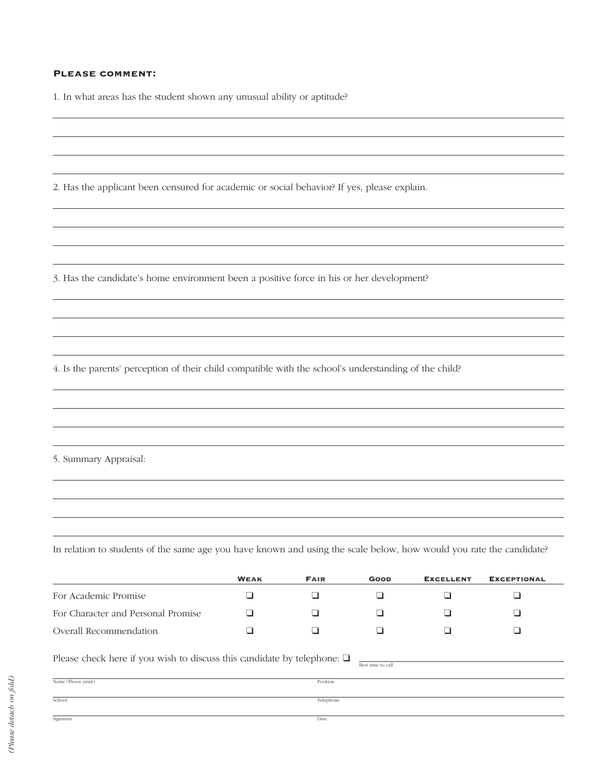# Please comment:

1. In what areas has the student shown any unusual ability or aptitude?

2. Has the applicant been censured for academic or social behavior? If yes, please explain.

3. Has the candidate's home environment been a positive force in his or her development?

4. Is the parents' perception of their child compatible with the school's understanding of the child?

5. Summary Appraisal:

In relation to students of the same age you have known and using the scale below, how would you rate the candidate?

|                                                                                                   | <b>WEAK</b> | <b>FAIR</b> | <b>GOOD</b> | <b>EXCELLENT</b> | <b>EXCEPTIONAL</b> |  |
|---------------------------------------------------------------------------------------------------|-------------|-------------|-------------|------------------|--------------------|--|
| For Academic Promise                                                                              |             | ┚           |             |                  |                    |  |
| For Character and Personal Promise                                                                |             |             |             |                  |                    |  |
| Overall Recommendation                                                                            |             |             |             |                  |                    |  |
| Please check here if you wish to discuss this candidate by telephone: $\Box$<br>Best time to call |             |             |             |                  |                    |  |
| Name (Please print)                                                                               |             | Position    |             |                  |                    |  |
| School                                                                                            | Telephone   |             |             |                  |                    |  |
| Signature                                                                                         |             | Date        |             |                  |                    |  |